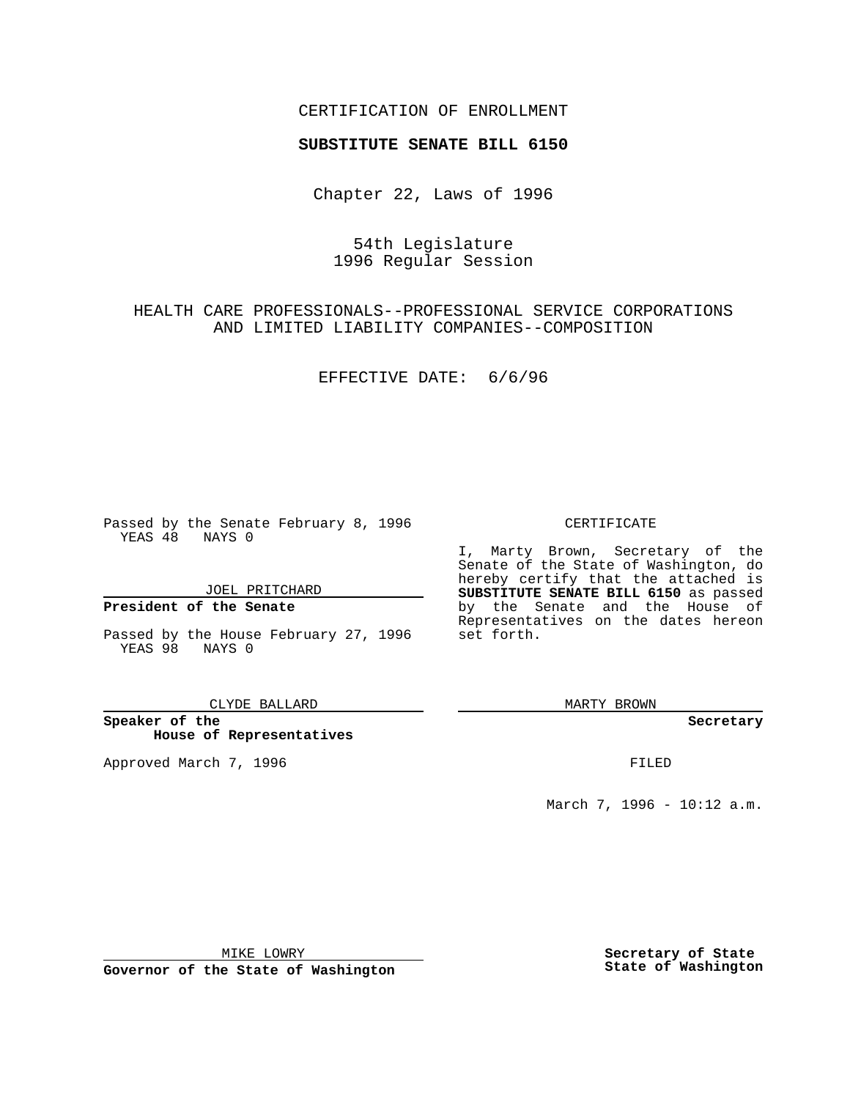### CERTIFICATION OF ENROLLMENT

# **SUBSTITUTE SENATE BILL 6150**

Chapter 22, Laws of 1996

## 54th Legislature 1996 Regular Session

# HEALTH CARE PROFESSIONALS--PROFESSIONAL SERVICE CORPORATIONS AND LIMITED LIABILITY COMPANIES--COMPOSITION

EFFECTIVE DATE: 6/6/96

Passed by the Senate February 8, 1996 YEAS 48 NAYS 0

JOEL PRITCHARD

### **President of the Senate**

Passed by the House February 27, 1996 YEAS 98 NAYS 0

#### CLYDE BALLARD

**Speaker of the House of Representatives**

Approved March 7, 1996 FILED

### CERTIFICATE

I, Marty Brown, Secretary of the Senate of the State of Washington, do hereby certify that the attached is **SUBSTITUTE SENATE BILL 6150** as passed by the Senate and the House of Representatives on the dates hereon set forth.

MARTY BROWN

#### **Secretary**

March 7, 1996 - 10:12 a.m.

MIKE LOWRY

**Governor of the State of Washington**

**Secretary of State State of Washington**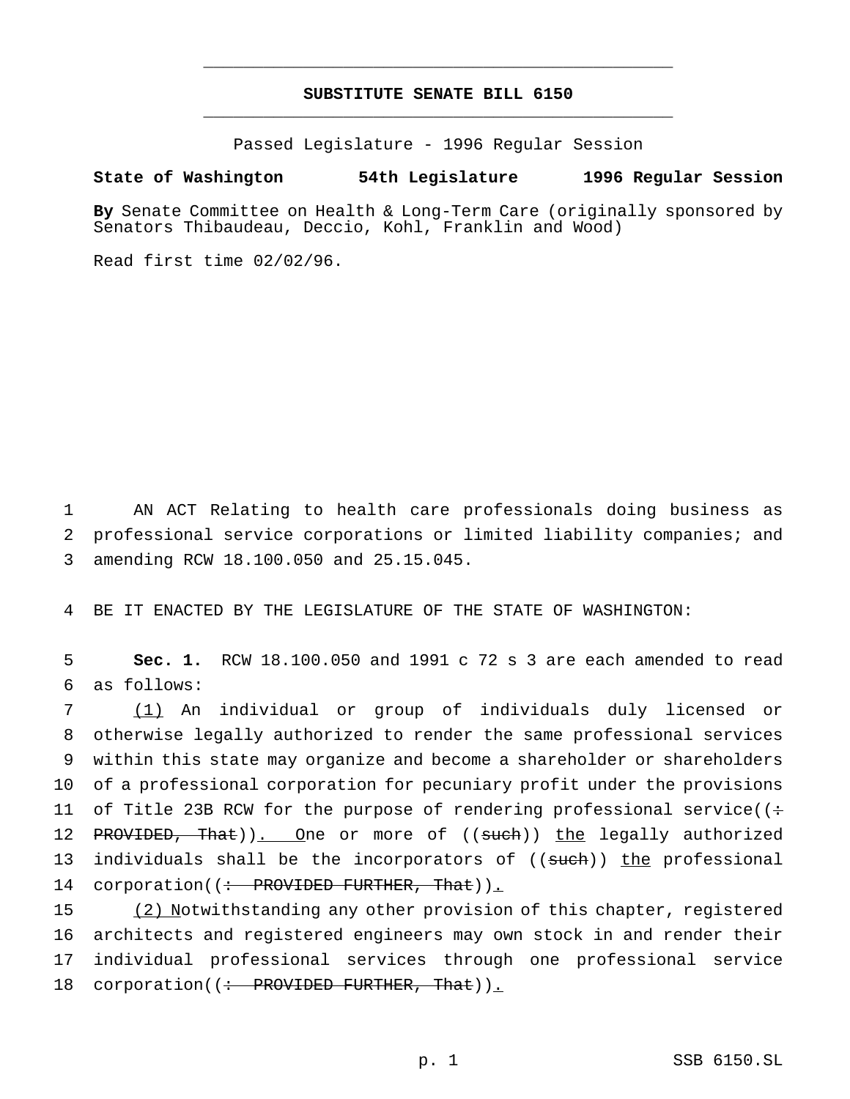## **SUBSTITUTE SENATE BILL 6150** \_\_\_\_\_\_\_\_\_\_\_\_\_\_\_\_\_\_\_\_\_\_\_\_\_\_\_\_\_\_\_\_\_\_\_\_\_\_\_\_\_\_\_\_\_\_\_

\_\_\_\_\_\_\_\_\_\_\_\_\_\_\_\_\_\_\_\_\_\_\_\_\_\_\_\_\_\_\_\_\_\_\_\_\_\_\_\_\_\_\_\_\_\_\_

Passed Legislature - 1996 Regular Session

### **State of Washington 54th Legislature 1996 Regular Session**

**By** Senate Committee on Health & Long-Term Care (originally sponsored by Senators Thibaudeau, Deccio, Kohl, Franklin and Wood)

Read first time 02/02/96.

1 AN ACT Relating to health care professionals doing business as 2 professional service corporations or limited liability companies; and 3 amending RCW 18.100.050 and 25.15.045.

4 BE IT ENACTED BY THE LEGISLATURE OF THE STATE OF WASHINGTON:

5 **Sec. 1.** RCW 18.100.050 and 1991 c 72 s 3 are each amended to read 6 as follows:

7 (1) An individual or group of individuals duly licensed or 8 otherwise legally authorized to render the same professional services 9 within this state may organize and become a shareholder or shareholders 10 of a professional corporation for pecuniary profit under the provisions 11 of Title 23B RCW for the purpose of rendering professional service( $($ : 12 PROVIDED, That)). One or more of ((such)) the legally authorized 13 individuals shall be the incorporators of ((such)) the professional 14 corporation((: PROVIDED FURTHER, That)).

 (2) Notwithstanding any other provision of this chapter, registered architects and registered engineers may own stock in and render their individual professional services through one professional service 18 corporation((: PROVIDED FURTHER, That)).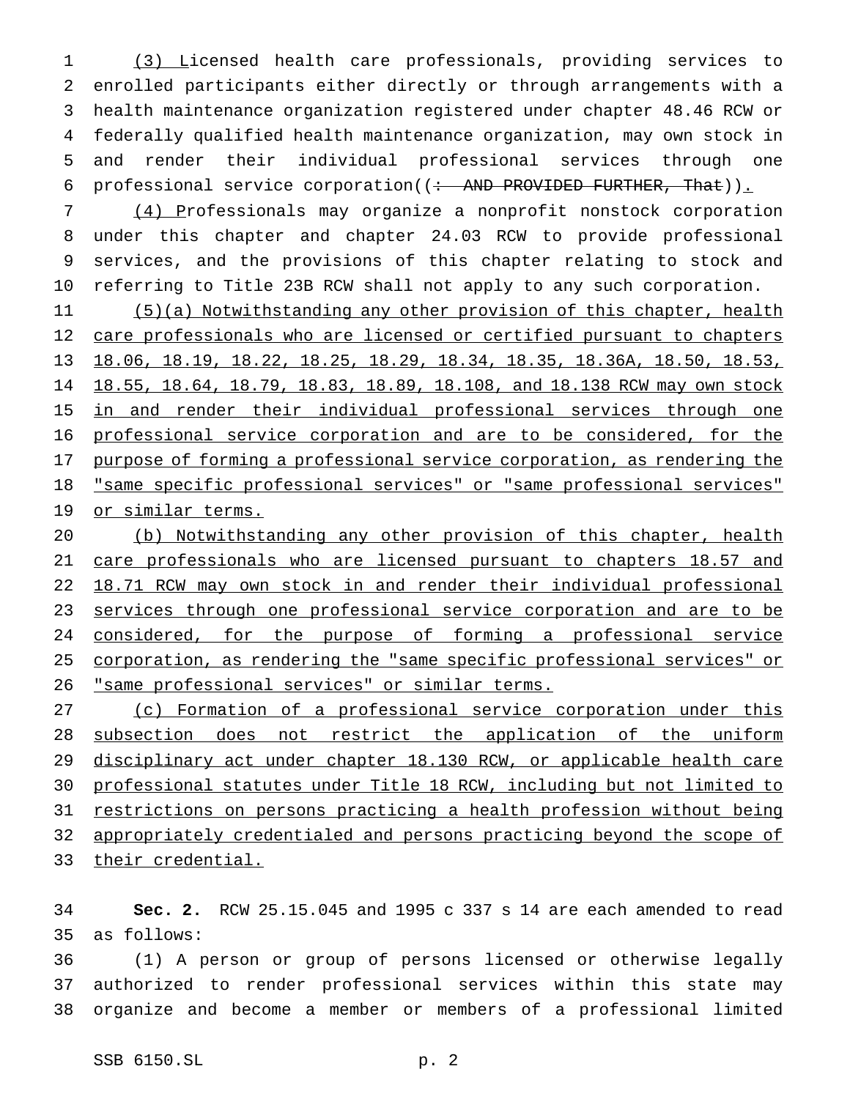(3) Licensed health care professionals, providing services to enrolled participants either directly or through arrangements with a health maintenance organization registered under chapter 48.46 RCW or federally qualified health maintenance organization, may own stock in and render their individual professional services through one 6 professional service corporation( $\left( \div \right)$  AND PROVIDED FURTHER, That)).

 (4) Professionals may organize a nonprofit nonstock corporation under this chapter and chapter 24.03 RCW to provide professional services, and the provisions of this chapter relating to stock and referring to Title 23B RCW shall not apply to any such corporation.

 (5)(a) Notwithstanding any other provision of this chapter, health 12 care professionals who are licensed or certified pursuant to chapters 18.06, 18.19, 18.22, 18.25, 18.29, 18.34, 18.35, 18.36A, 18.50, 18.53, 18.55, 18.64, 18.79, 18.83, 18.89, 18.108, and 18.138 RCW may own stock 15 in and render their individual professional services through one professional service corporation and are to be considered, for the purpose of forming a professional service corporation, as rendering the "same specific professional services" or "same professional services" or similar terms.

 (b) Notwithstanding any other provision of this chapter, health 21 care professionals who are licensed pursuant to chapters 18.57 and 18.71 RCW may own stock in and render their individual professional 23 services through one professional service corporation and are to be 24 considered, for the purpose of forming a professional service corporation, as rendering the "same specific professional services" or "same professional services" or similar terms.

 (c) Formation of a professional service corporation under this subsection does not restrict the application of the uniform disciplinary act under chapter 18.130 RCW, or applicable health care professional statutes under Title 18 RCW, including but not limited to restrictions on persons practicing a health profession without being appropriately credentialed and persons practicing beyond the scope of their credential.

 **Sec. 2.** RCW 25.15.045 and 1995 c 337 s 14 are each amended to read as follows:

 (1) A person or group of persons licensed or otherwise legally authorized to render professional services within this state may organize and become a member or members of a professional limited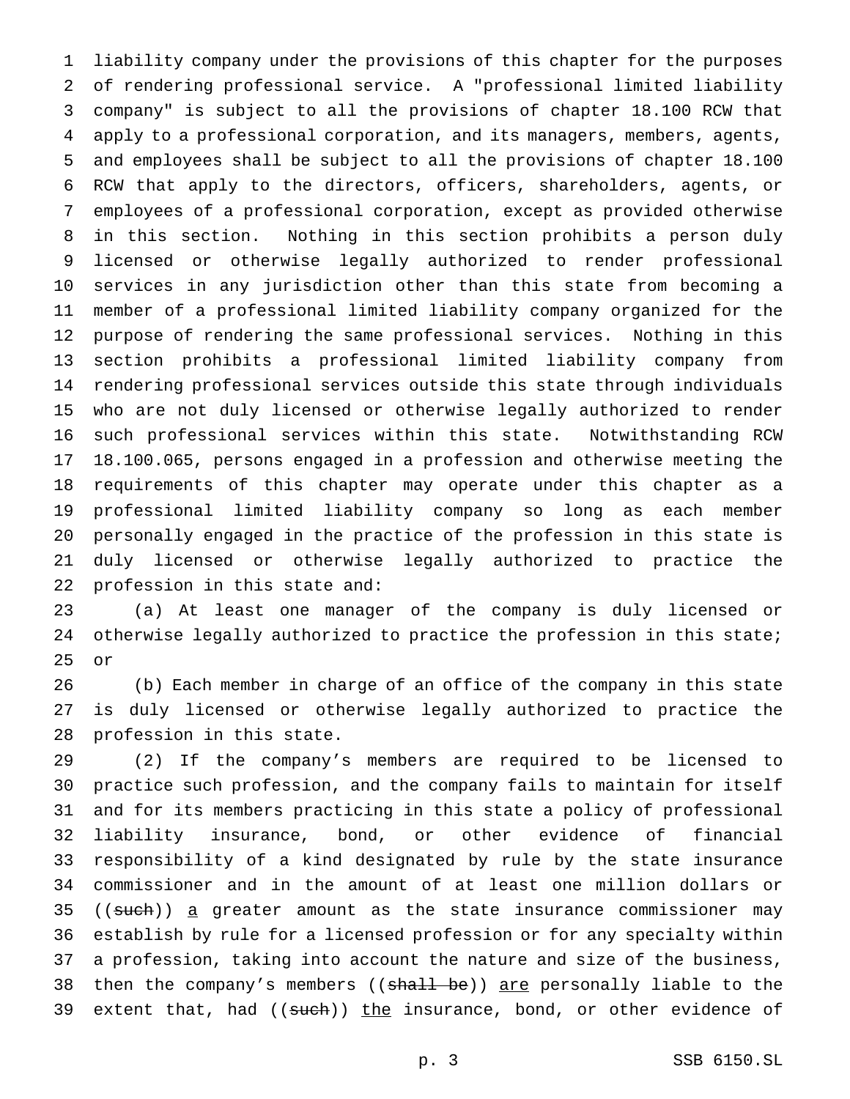liability company under the provisions of this chapter for the purposes of rendering professional service. A "professional limited liability company" is subject to all the provisions of chapter 18.100 RCW that apply to a professional corporation, and its managers, members, agents, and employees shall be subject to all the provisions of chapter 18.100 RCW that apply to the directors, officers, shareholders, agents, or employees of a professional corporation, except as provided otherwise in this section. Nothing in this section prohibits a person duly licensed or otherwise legally authorized to render professional services in any jurisdiction other than this state from becoming a member of a professional limited liability company organized for the purpose of rendering the same professional services. Nothing in this section prohibits a professional limited liability company from rendering professional services outside this state through individuals who are not duly licensed or otherwise legally authorized to render such professional services within this state. Notwithstanding RCW 18.100.065, persons engaged in a profession and otherwise meeting the requirements of this chapter may operate under this chapter as a professional limited liability company so long as each member personally engaged in the practice of the profession in this state is duly licensed or otherwise legally authorized to practice the profession in this state and:

 (a) At least one manager of the company is duly licensed or 24 otherwise legally authorized to practice the profession in this state; or

 (b) Each member in charge of an office of the company in this state is duly licensed or otherwise legally authorized to practice the profession in this state.

 (2) If the company's members are required to be licensed to practice such profession, and the company fails to maintain for itself and for its members practicing in this state a policy of professional liability insurance, bond, or other evidence of financial responsibility of a kind designated by rule by the state insurance commissioner and in the amount of at least one million dollars or 35 ((such)) a greater amount as the state insurance commissioner may establish by rule for a licensed profession or for any specialty within a profession, taking into account the nature and size of the business, 38 then the company's members ((shall be)) are personally liable to the 39 extent that, had  $((\text{such})\,)$  the insurance, bond, or other evidence of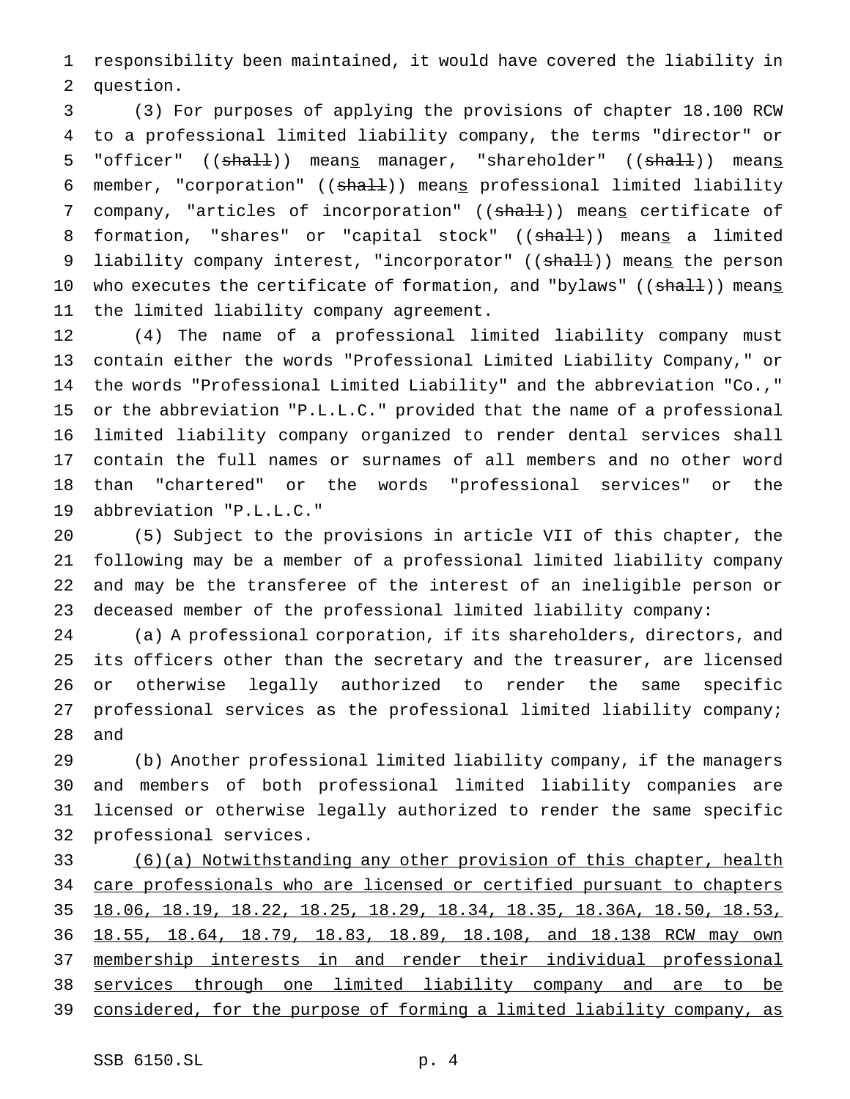responsibility been maintained, it would have covered the liability in question.

 (3) For purposes of applying the provisions of chapter 18.100 RCW to a professional limited liability company, the terms "director" or 5 "officer" ((shall)) means manager, "shareholder" ((shall)) means 6 member, "corporation" ((shall)) means professional limited liability 7 company, "articles of incorporation" ((shall)) means certificate of 8 formation, "shares" or "capital stock" ((shall)) means a limited 9 liability company interest, "incorporator" ((shall)) means the person 10 who executes the certificate of formation, and "bylaws" ((shall)) means the limited liability company agreement.

 (4) The name of a professional limited liability company must contain either the words "Professional Limited Liability Company," or the words "Professional Limited Liability" and the abbreviation "Co.," or the abbreviation "P.L.L.C." provided that the name of a professional limited liability company organized to render dental services shall contain the full names or surnames of all members and no other word than "chartered" or the words "professional services" or the abbreviation "P.L.L.C."

 (5) Subject to the provisions in article VII of this chapter, the following may be a member of a professional limited liability company and may be the transferee of the interest of an ineligible person or deceased member of the professional limited liability company:

 (a) A professional corporation, if its shareholders, directors, and its officers other than the secretary and the treasurer, are licensed or otherwise legally authorized to render the same specific professional services as the professional limited liability company; and

 (b) Another professional limited liability company, if the managers and members of both professional limited liability companies are licensed or otherwise legally authorized to render the same specific professional services.

 (6)(a) Notwithstanding any other provision of this chapter, health 34 care professionals who are licensed or certified pursuant to chapters 18.06, 18.19, 18.22, 18.25, 18.29, 18.34, 18.35, 18.36A, 18.50, 18.53, 18.55, 18.64, 18.79, 18.83, 18.89, 18.108, and 18.138 RCW may own membership interests in and render their individual professional services through one limited liability company and are to be considered, for the purpose of forming a limited liability company, as